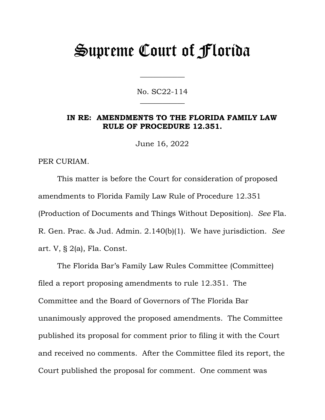# Supreme Court of Florida

No. SC22-114  $\overline{\phantom{a}}$ 

 $\overline{\phantom{a}}$ 

#### **IN RE: AMENDMENTS TO THE FLORIDA FAMILY LAW RULE OF PROCEDURE 12.351.**

June 16, 2022

PER CURIAM.

This matter is before the Court for consideration of proposed amendments to Florida Family Law Rule of Procedure 12.351 (Production of Documents and Things Without Deposition). *See* Fla. R. Gen. Prac. & Jud. Admin. 2.140(b)(1). We have jurisdiction. *See* art. V, § 2(a), Fla. Const.

The Florida Bar's Family Law Rules Committee (Committee) filed a report proposing amendments to rule 12.351. The Committee and the Board of Governors of The Florida Bar unanimously approved the proposed amendments. The Committee published its proposal for comment prior to filing it with the Court and received no comments. After the Committee filed its report, the Court published the proposal for comment. One comment was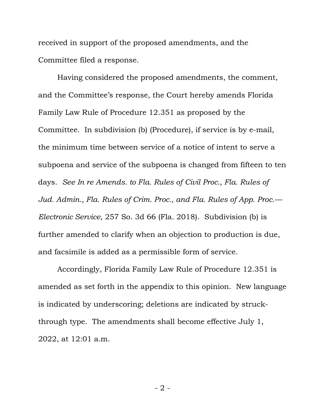received in support of the proposed amendments, and the Committee filed a response.

Having considered the proposed amendments, the comment, and the Committee's response, the Court hereby amends Florida Family Law Rule of Procedure 12.351 as proposed by the Committee. In subdivision (b) (Procedure), if service is by e-mail, the minimum time between service of a notice of intent to serve a subpoena and service of the subpoena is changed from fifteen to ten days. *See In re Amends. to Fla. Rules of Civil Proc., Fla. Rules of Jud. Admin., Fla. Rules of Crim. Proc., and Fla. Rules of App. Proc.— Electronic Service*, 257 So. 3d 66 (Fla. 2018). Subdivision (b) is further amended to clarify when an objection to production is due, and facsimile is added as a permissible form of service.

Accordingly, Florida Family Law Rule of Procedure 12.351 is amended as set forth in the appendix to this opinion. New language is indicated by underscoring; deletions are indicated by struckthrough type. The amendments shall become effective July 1, 2022, at 12:01 a.m.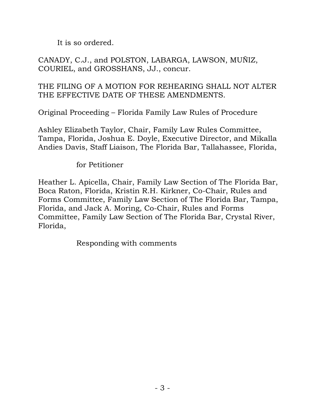It is so ordered.

CANADY, C.J., and POLSTON, LABARGA, LAWSON, MUÑIZ, COURIEL, and GROSSHANS, JJ., concur.

## THE FILING OF A MOTION FOR REHEARING SHALL NOT ALTER THE EFFECTIVE DATE OF THESE AMENDMENTS.

Original Proceeding – Florida Family Law Rules of Procedure

Ashley Elizabeth Taylor, Chair, Family Law Rules Committee, Tampa, Florida, Joshua E. Doyle, Executive Director, and Mikalla Andies Davis, Staff Liaison, The Florida Bar, Tallahassee, Florida,

for Petitioner

Heather L. Apicella, Chair, Family Law Section of The Florida Bar, Boca Raton, Florida, Kristin R.H. Kirkner, Co-Chair, Rules and Forms Committee, Family Law Section of The Florida Bar, Tampa, Florida, and Jack A. Moring, Co-Chair, Rules and Forms Committee, Family Law Section of The Florida Bar, Crystal River, Florida,

Responding with comments